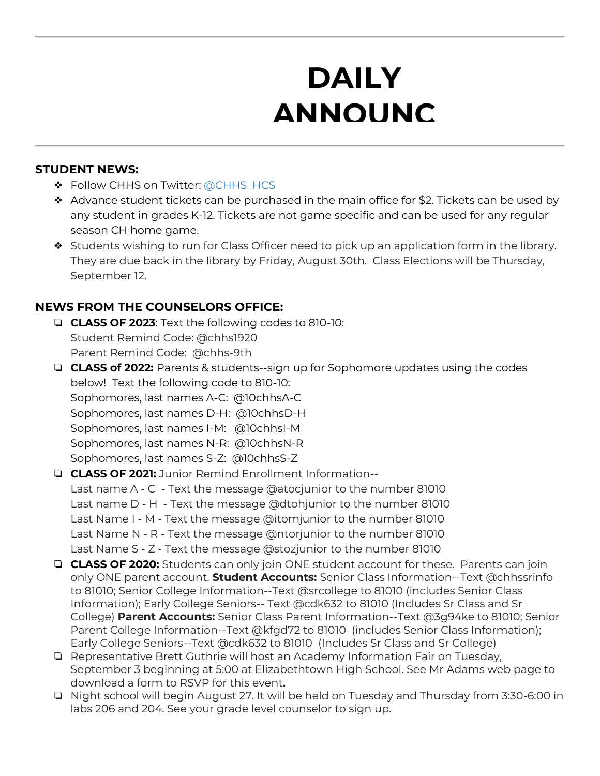# **DAILY ANNOUNC**

**EMENTS AND STRUCK SERVICES** 

### **STUDENT NEWS:**

- ❖ Follow CHHS on Twitter: [@CHHS\\_HCS](https://twitter.com/CHHS_HCS)
- ❖ Advance student tickets can be purchased in the main office for \$2. Tickets can be used by any student in grades K-12. Tickets are not game specific and can be used for any regular season CH home game.
- ❖ Students wishing to run for Class Officer need to pick up an application form in the library. They are due back in the library by Friday, August 30th. Class Elections will be Thursday, September 12.

## **NEWS FROM THE COUNSELORS OFFICE:**

- ❏ **CLASS OF 2023**: Text the following codes to 810-10: Student Remind Code: @chhs1920 Parent Remind Code: @chhs-9th
- ❏ **CLASS of 2022:** Parents & students--sign up for Sophomore updates using the codes below! Text the following code to 810-10: Sophomores, last names A-C: @10chhsA-C Sophomores, last names D-H: @10chhsD-H Sophomores, last names I-M: @10chhsI-M Sophomores, last names N-R: @10chhsN-R Sophomores, last names S-Z: @10chhsS-Z ❏ **CLASS OF 2021:** Junior Remind Enrollment Information--
- Last name A C Text the message @atocjunior to the number 81010 Last name D - H - Text the message @dtohjunior to the number 81010 Last Name I - M - Text the message @itomjunior to the number 81010 Last Name N - R - Text the message @ntorjunior to the number 81010 Last Name S - Z - Text the message @stozjunior to the number 81010
- ❏ **CLASS OF 2020:** Students can only join ONE student account for these. Parents can join only ONE parent account. **Student Accounts:** Senior Class Information--Text @chhssrinfo to 81010; Senior College Information--Text @srcollege to 81010 (includes Senior Class Information); Early College Seniors-- Text @cdk632 to 81010 (Includes Sr Class and Sr College) **Parent Accounts:** Senior Class Parent Information--Text @3g94ke to 81010; Senior Parent College Information--Text @kfgd72 to 81010 (includes Senior Class Information); Early College Seniors--Text @cdk632 to 81010 (Includes Sr Class and Sr College)
- ❏ Representative Brett Guthrie will host an Academy Information Fair on Tuesday, September 3 beginning at 5:00 at Elizabethtown High School. See Mr Adams web page to download a form to RSVP for this event**.**
- ❏ Night school will begin August 27. It will be held on Tuesday and Thursday from 3:30-6:00 in labs 206 and 204. See your grade level counselor to sign up.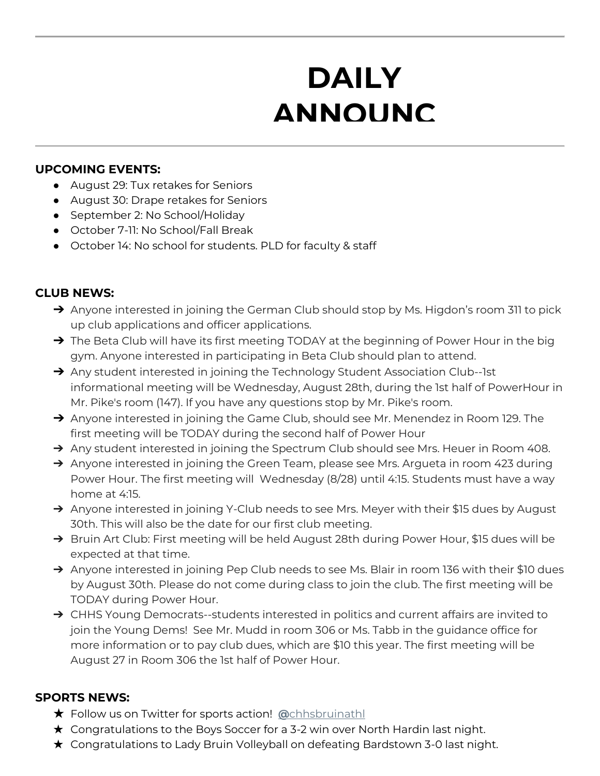# **DAILY ANNOUNC**

**EMENTS AND STRUCK SERVICES** 

#### **UPCOMING EVENTS:**

- August 29: Tux retakes for Seniors
- August 30: Drape retakes for Seniors
- September 2: No School/Holiday
- October 7-11: No School/Fall Break
- October 14: No school for students. PLD for faculty & staff

## **CLUB NEWS:**

- → Anyone interested in joining the German Club should stop by Ms. Higdon's room 311 to pick up club applications and officer applications.
- → The Beta Club will have its first meeting TODAY at the beginning of Power Hour in the big gym. Anyone interested in participating in Beta Club should plan to attend.
- → Any student interested in joining the Technology Student Association Club--1st informational meeting will be Wednesday, August 28th, during the 1st half of PowerHour in Mr. Pike's room (147). If you have any questions stop by Mr. Pike's room.
- → Anyone interested in joining the Game Club, should see Mr. Menendez in Room 129. The first meeting will be TODAY during the second half of Power Hour
- → Any student interested in joining the Spectrum Club should see Mrs. Heuer in Room 408.
- → Anyone interested in joining the Green Team, please see Mrs. Argueta in room 423 during Power Hour. The first meeting will Wednesday (8/28) until 4:15. Students must have a way home at 4:15.
- → Anyone interested in joining Y-Club needs to see Mrs. Meyer with their \$15 dues by August 30th. This will also be the date for our first club meeting.
- → Bruin Art Club: First meeting will be held August 28th during Power Hour, \$15 dues will be expected at that time.
- → Anyone interested in joining Pep Club needs to see Ms. Blair in room 136 with their \$10 dues by August 30th. Please do not come during class to join the club. The first meeting will be TODAY during Power Hour.
- → CHHS Young Democrats--students interested in politics and current affairs are invited to join the Young Dems! See Mr. Mudd in room 306 or Ms. Tabb in the guidance office for more information or to pay club dues, which are \$10 this year. The first meeting will be August 27 in Room 306 the 1st half of Power Hour.

### **SPORTS NEWS:**

- ★ Follow us on Twitter for sports action! **[@](https://twitter.com/chhsbruinathl)**[chhsbruinathl](https://twitter.com/chhsbruinathl)
- $\star$  Congratulations to the Boys Soccer for a 3-2 win over North Hardin last night.
- ★ Congratulations to Lady Bruin Volleyball on defeating Bardstown 3-0 last night.